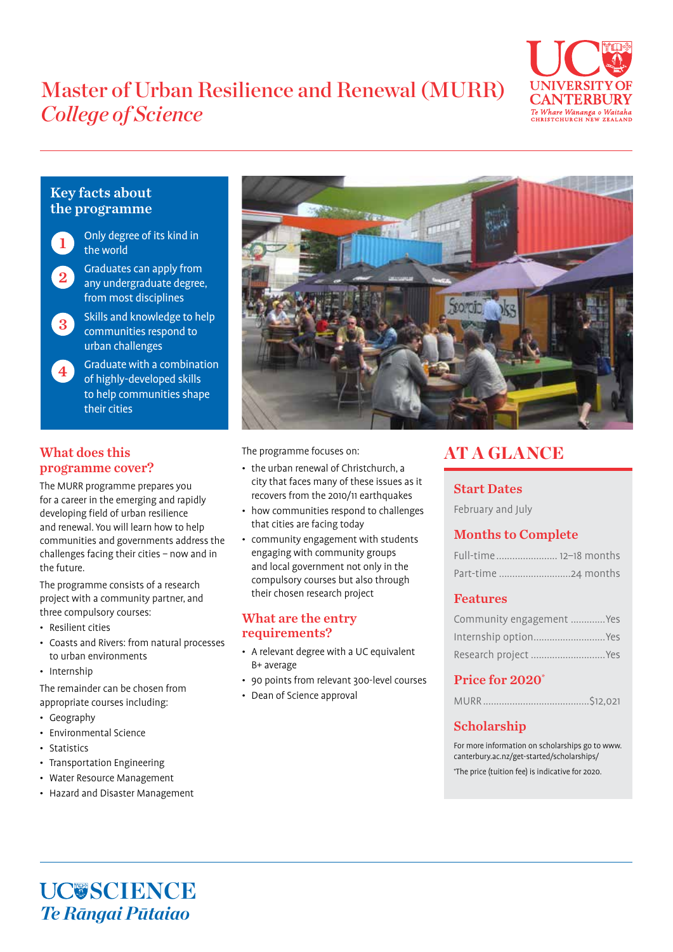# Master of Urban Resilience and Renewal (MURR) *College of Science*



# Key facts about the programme



- Only degree of its kind in the world
- Graduates can apply from any undergraduate degree, from most disciplines 2
- Skills and knowledge to help communities respond to urban challenges 3

#### Graduate with a combination of highly-developed skills to help communities shape their cities 4

## What does this programme cover?

The MURR programme prepares you for a career in the emerging and rapidly developing field of urban resilience and renewal. You will learn how to help communities and governments address the challenges facing their cities – now and in the future.

The programme consists of a research project with a community partner, and three compulsory courses:

- Resilient cities
- Coasts and Rivers: from natural processes to urban environments
- Internship

The remainder can be chosen from appropriate courses including:

- Geography
- Environmental Science
- Statistics
- Transportation Engineering
- Water Resource Management
- Hazard and Disaster Management



The programme focuses on:

- the urban renewal of Christchurch, a city that faces many of these issues as it recovers from the 2010/11 earthquakes
- how communities respond to challenges that cities are facing today
- community engagement with students engaging with community groups and local government not only in the compulsory courses but also through their chosen research project

### What are the entry requirements?

- A relevant degree with a UC equivalent B+ average
- 90 points from relevant 300-level courses
- Dean of Science approval

# AT A GLANCE

# Start Dates

February and July

# Months to Complete

| Full-time 12-18 months |  |
|------------------------|--|
|                        |  |

## Features

| Community engagement  Yes |  |
|---------------------------|--|
| Internship option Yes     |  |
| Research project  Yes     |  |

# Price for 2020\*

# Scholarship

For more information on scholarships go to www. canterbury.ac.nz/get-started/scholarships/ \* The price (tuition fee) is indicative for 2020.

# UC**USCIENCE** *Te Rāngai Pūtaiao*